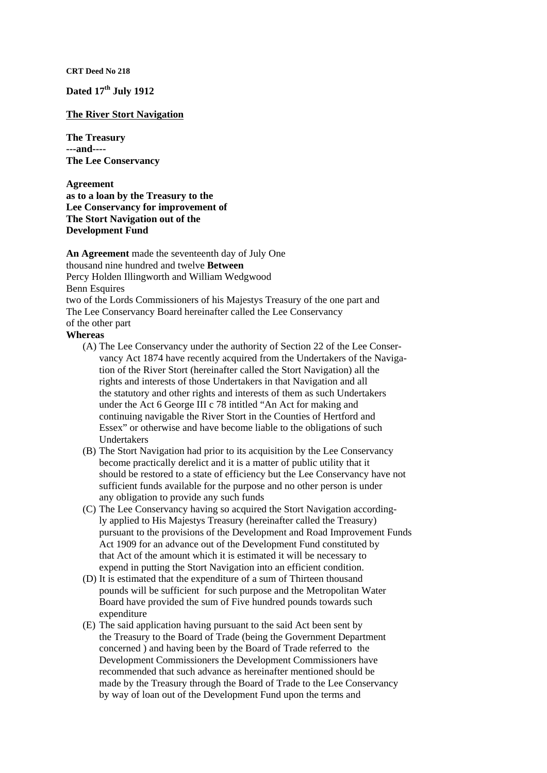**CRT Deed No 218** 

**Dated 17th July 1912** 

## **The River Stort Navigation**

**The Treasury ---and---- The Lee Conservancy** 

**Agreement as to a loan by the Treasury to the Lee Conservancy for improvement of The Stort Navigation out of the Development Fund** 

**An Agreement** made the seventeenth day of July One thousand nine hundred and twelve **Between**  Percy Holden Illingworth and William Wedgwood **Benn Esquires** two of the Lords Commissioners of his Majestys Treasury of the one part and The Lee Conservancy Board hereinafter called the Lee Conservancy of the other part **Whereas** 

## (A) The Lee Conservancy under the authority of Section 22 of the Lee Conser-

- vancy Act 1874 have recently acquired from the Undertakers of the Navigation of the River Stort (hereinafter called the Stort Navigation) all the rights and interests of those Undertakers in that Navigation and all the statutory and other rights and interests of them as such Undertakers under the Act 6 George III c 78 intitled "An Act for making and continuing navigable the River Stort in the Counties of Hertford and Essex" or otherwise and have become liable to the obligations of such Undertakers
- (B) The Stort Navigation had prior to its acquisition by the Lee Conservancy become practically derelict and it is a matter of public utility that it should be restored to a state of efficiency but the Lee Conservancy have not sufficient funds available for the purpose and no other person is under any obligation to provide any such funds
- (C) The Lee Conservancy having so acquired the Stort Navigation accordingly applied to His Majestys Treasury (hereinafter called the Treasury) pursuant to the provisions of the Development and Road Improvement Funds Act 1909 for an advance out of the Development Fund constituted by that Act of the amount which it is estimated it will be necessary to expend in putting the Stort Navigation into an efficient condition.
- (D) It is estimated that the expenditure of a sum of Thirteen thousand pounds will be sufficient for such purpose and the Metropolitan Water Board have provided the sum of Five hundred pounds towards such expenditure
- (E) The said application having pursuant to the said Act been sent by the Treasury to the Board of Trade (being the Government Department concerned ) and having been by the Board of Trade referred to the Development Commissioners the Development Commissioners have recommended that such advance as hereinafter mentioned should be made by the Treasury through the Board of Trade to the Lee Conservancy by way of loan out of the Development Fund upon the terms and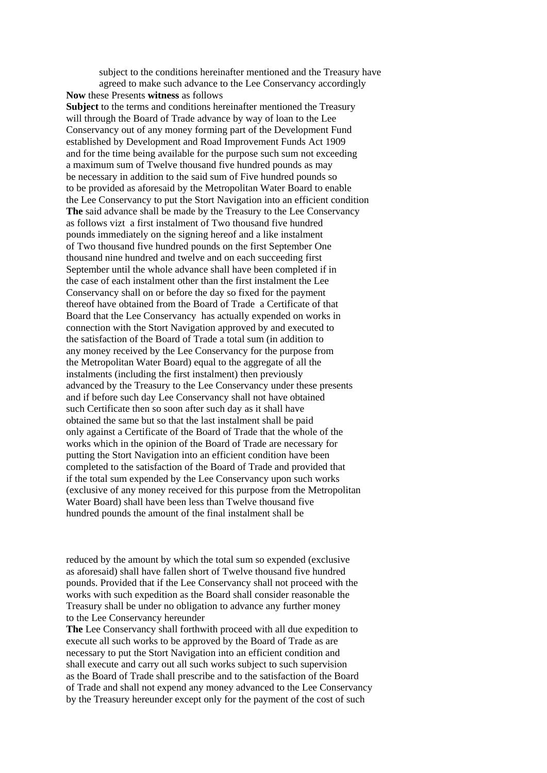subject to the conditions hereinafter mentioned and the Treasury have agreed to make such advance to the Lee Conservancy accordingly **Now** these Presents **witness** as follows **Subject** to the terms and conditions hereinafter mentioned the Treasury will through the Board of Trade advance by way of loan to the Lee Conservancy out of any money forming part of the Development Fund established by Development and Road Improvement Funds Act 1909 and for the time being available for the purpose such sum not exceeding a maximum sum of Twelve thousand five hundred pounds as may be necessary in addition to the said sum of Five hundred pounds so to be provided as aforesaid by the Metropolitan Water Board to enable the Lee Conservancy to put the Stort Navigation into an efficient condition **The** said advance shall be made by the Treasury to the Lee Conservancy as follows vizt a first instalment of Two thousand five hundred pounds immediately on the signing hereof and a like instalment of Two thousand five hundred pounds on the first September One thousand nine hundred and twelve and on each succeeding first September until the whole advance shall have been completed if in the case of each instalment other than the first instalment the Lee Conservancy shall on or before the day so fixed for the payment thereof have obtained from the Board of Trade a Certificate of that Board that the Lee Conservancy has actually expended on works in connection with the Stort Navigation approved by and executed to the satisfaction of the Board of Trade a total sum (in addition to any money received by the Lee Conservancy for the purpose from the Metropolitan Water Board) equal to the aggregate of all the instalments (including the first instalment) then previously advanced by the Treasury to the Lee Conservancy under these presents and if before such day Lee Conservancy shall not have obtained such Certificate then so soon after such day as it shall have obtained the same but so that the last instalment shall be paid only against a Certificate of the Board of Trade that the whole of the works which in the opinion of the Board of Trade are necessary for putting the Stort Navigation into an efficient condition have been completed to the satisfaction of the Board of Trade and provided that if the total sum expended by the Lee Conservancy upon such works (exclusive of any money received for this purpose from the Metropolitan Water Board) shall have been less than Twelve thousand five hundred pounds the amount of the final instalment shall be

reduced by the amount by which the total sum so expended (exclusive as aforesaid) shall have fallen short of Twelve thousand five hundred pounds. Provided that if the Lee Conservancy shall not proceed with the works with such expedition as the Board shall consider reasonable the Treasury shall be under no obligation to advance any further money to the Lee Conservancy hereunder

**The** Lee Conservancy shall forthwith proceed with all due expedition to execute all such works to be approved by the Board of Trade as are necessary to put the Stort Navigation into an efficient condition and shall execute and carry out all such works subject to such supervision as the Board of Trade shall prescribe and to the satisfaction of the Board of Trade and shall not expend any money advanced to the Lee Conservancy by the Treasury hereunder except only for the payment of the cost of such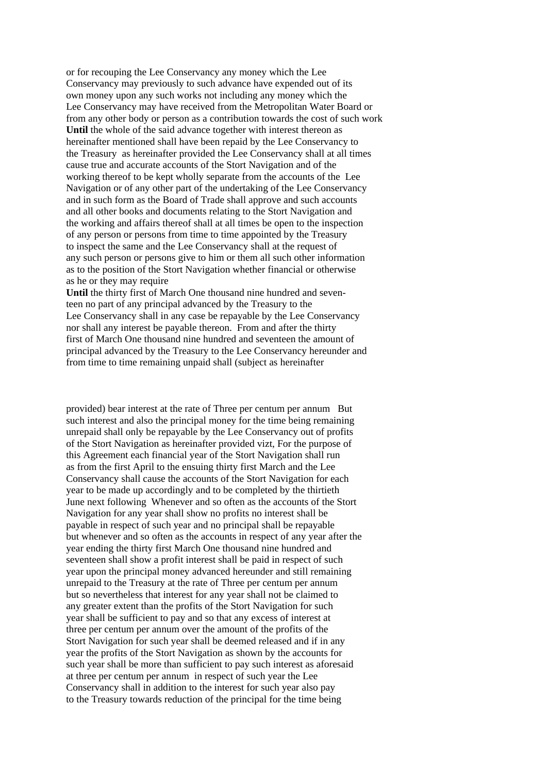or for recouping the Lee Conservancy any money which the Lee Conservancy may previously to such advance have expended out of its own money upon any such works not including any money which the Lee Conservancy may have received from the Metropolitan Water Board or from any other body or person as a contribution towards the cost of such work Until the whole of the said advance together with interest thereon as hereinafter mentioned shall have been repaid by the Lee Conservancy to the Treasury as hereinafter provided the Lee Conservancy shall at all times cause true and accurate accounts of the Stort Navigation and of the working thereof to be kept wholly separate from the accounts of the Lee Navigation or of any other part of the undertaking of the Lee Conservancy and in such form as the Board of Trade shall approve and such accounts and all other books and documents relating to the Stort Navigation and the working and affairs thereof shall at all times be open to the inspection of any person or persons from time to time appointed by the Treasury to inspect the same and the Lee Conservancy shall at the request of any such person or persons give to him or them all such other information as to the position of the Stort Navigation whether financial or otherwise as he or they may require

Until the thirty first of March One thousand nine hundred and seventeen no part of any principal advanced by the Treasury to the Lee Conservancy shall in any case be repayable by the Lee Conservancy nor shall any interest be payable thereon. From and after the thirty first of March One thousand nine hundred and seventeen the amount of principal advanced by the Treasury to the Lee Conservancy hereunder and from time to time remaining unpaid shall (subject as hereinafter

provided) bear interest at the rate of Three per centum per annum But such interest and also the principal money for the time being remaining unrepaid shall only be repayable by the Lee Conservancy out of profits of the Stort Navigation as hereinafter provided vizt, For the purpose of this Agreement each financial year of the Stort Navigation shall run as from the first April to the ensuing thirty first March and the Lee Conservancy shall cause the accounts of the Stort Navigation for each year to be made up accordingly and to be completed by the thirtieth June next following Whenever and so often as the accounts of the Stort Navigation for any year shall show no profits no interest shall be payable in respect of such year and no principal shall be repayable but whenever and so often as the accounts in respect of any year after the year ending the thirty first March One thousand nine hundred and seventeen shall show a profit interest shall be paid in respect of such year upon the principal money advanced hereunder and still remaining unrepaid to the Treasury at the rate of Three per centum per annum but so nevertheless that interest for any year shall not be claimed to any greater extent than the profits of the Stort Navigation for such year shall be sufficient to pay and so that any excess of interest at three per centum per annum over the amount of the profits of the Stort Navigation for such year shall be deemed released and if in any year the profits of the Stort Navigation as shown by the accounts for such year shall be more than sufficient to pay such interest as aforesaid at three per centum per annum in respect of such year the Lee Conservancy shall in addition to the interest for such year also pay to the Treasury towards reduction of the principal for the time being